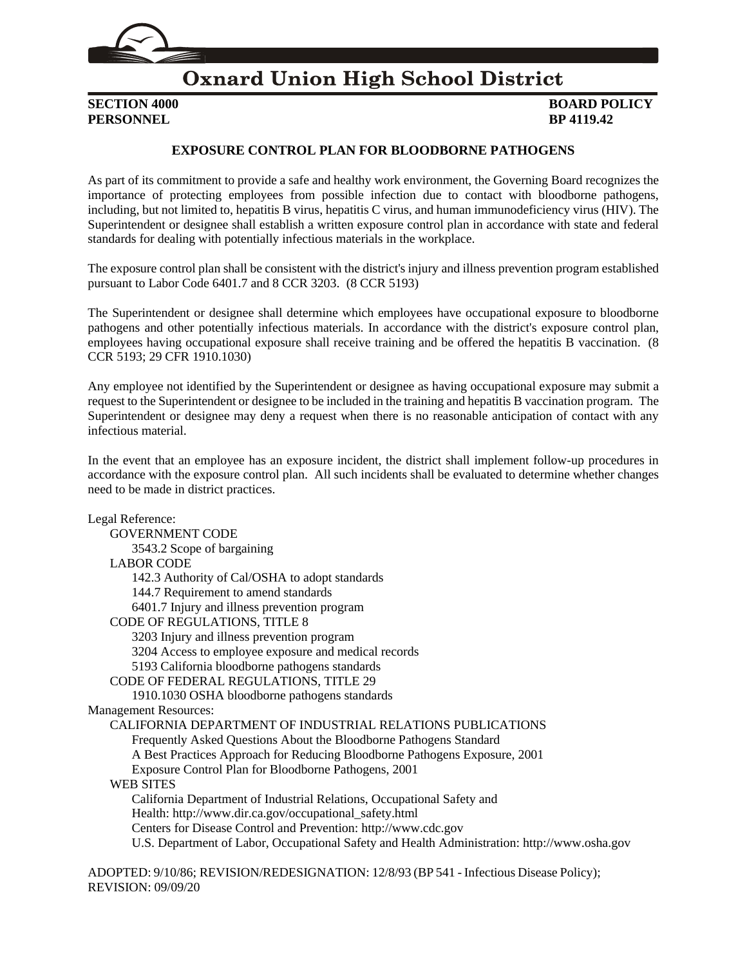

# **Oxnard Union High School District**

**PERSONNEL BP** 4119.42

# **SECTION 4000 BOARD POLICY**

### **EXPOSURE CONTROL PLAN FOR BLOODBORNE PATHOGENS**

As part of its commitment to provide a safe and healthy work environment, the Governing Board recognizes the importance of protecting employees from possible infection due to contact with bloodborne pathogens, including, but not limited to, hepatitis B virus, hepatitis C virus, and human immunodeficiency virus (HIV). The Superintendent or designee shall establish a written exposure control plan in accordance with state and federal standards for dealing with potentially infectious materials in the workplace.

The exposure control plan shall be consistent with the district's injury and illness prevention program established pursuant to Labor Code 6401.7 and 8 CCR 3203. (8 CCR 5193)

The Superintendent or designee shall determine which employees have occupational exposure to bloodborne pathogens and other potentially infectious materials. In accordance with the district's exposure control plan, employees having occupational exposure shall receive training and be offered the hepatitis B vaccination. (8 CCR 5193; 29 CFR 1910.1030)

Any employee not identified by the Superintendent or designee as having occupational exposure may submit a request to the Superintendent or designee to be included in the training and hepatitis B vaccination program. The Superintendent or designee may deny a request when there is no reasonable anticipation of contact with any infectious material.

In the event that an employee has an exposure incident, the district shall implement follow-up procedures in accordance with the exposure control plan. All such incidents shall be evaluated to determine whether changes need to be made in district practices.

Legal Reference: GOVERNMENT CODE [3543.2](http://gamutonline.net/displayPolicy/146166/4) Scope of bargaining LABOR CODE [142.3](http://gamutonline.net/displayPolicy/156626/4) Authority of Cal/OSHA to adopt standards [144.7](http://gamutonline.net/displayPolicy/156701/4) Requirement to amend standards [6401.7](http://gamutonline.net/displayPolicy/156592/4) Injury and illness prevention program CODE OF REGULATIONS, TITLE 8 [3203](http://gamutonline.net/displayPolicy/296219/4) Injury and illness prevention program [3204](http://gamutonline.net/displayPolicy/368012/4) Access to employee exposure and medical records [5193](http://gamutonline.net/displayPolicy/368009/4) California bloodborne pathogens standards CODE OF FEDERAL REGULATIONS, TITLE 29 [1910.1030](http://gamutonline.net/displayPolicy/120580/4) OSHA bloodborne pathogens standards Management Resources: CALIFORNIA DEPARTMENT OF INDUSTRIAL RELATIONS PUBLICATIONS Frequently Asked Questions About the Bloodborne Pathogens Standard A Best Practices Approach for Reducing Bloodborne Pathogens Exposure, 2001 Exposure Control Plan for Bloodborne Pathogens, 2001 WEB SITES California Department of Industrial Relations, Occupational Safety and Health: [http://www.dir.ca.gov/occupational\\_safety.html](http://www.dir.ca.gov/occupational_safety.html) Centers for Disease Control and Prevention: [http://www.cdc.gov](http://www.cdc.gov/) U.S. Department of Labor, Occupational Safety and Health Administration: [http://www.osha.gov](http://www.osha.gov/)

ADOPTED: 9/10/86; REVISION/REDESIGNATION: 12/8/93 (BP 541 - Infectious Disease Policy); REVISION: 09/09/20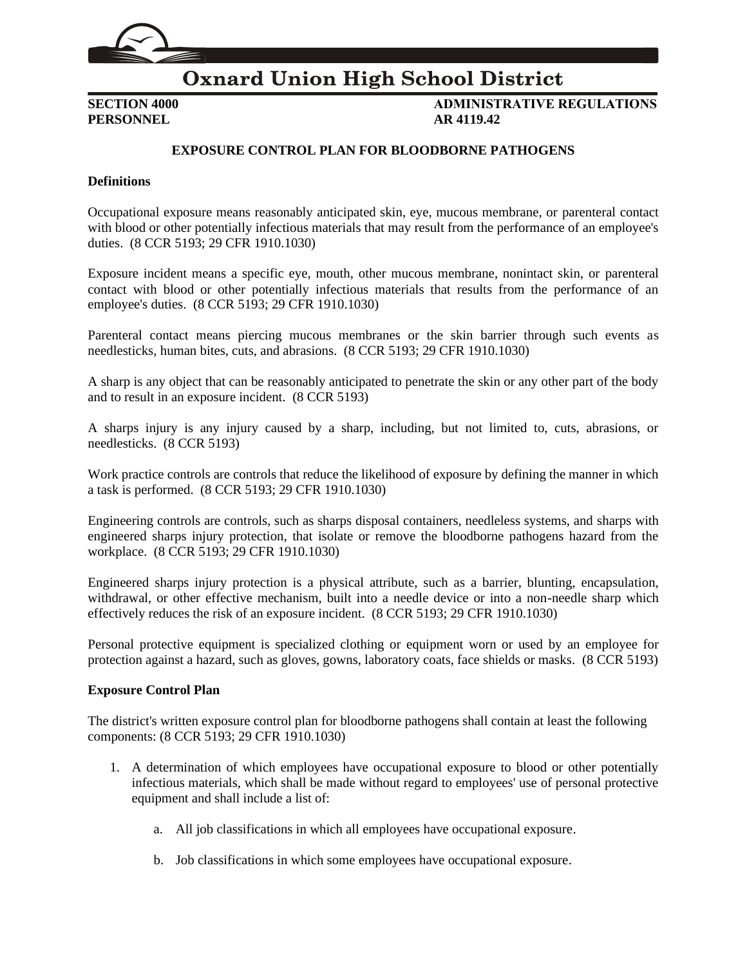

# **Oxnard Union High School District**

**PERSONNEL AR 4119.42**

**SECTION 4000 ADMINISTRATIVE REGULATIONS**

### **EXPOSURE CONTROL PLAN FOR BLOODBORNE PATHOGENS**

#### **Definitions**

Occupational exposure means reasonably anticipated skin, eye, mucous membrane, or parenteral contact with blood or other potentially infectious materials that may result from the performance of an employee's duties. (8 CCR 5193; 29 CFR 1910.1030)

Exposure incident means a specific eye, mouth, other mucous membrane, nonintact skin, or parenteral contact with blood or other potentially infectious materials that results from the performance of an employee's duties. (8 CCR 5193; 29 CFR 1910.1030)

Parenteral contact means piercing mucous membranes or the skin barrier through such events as needlesticks, human bites, cuts, and abrasions. (8 CCR 5193; 29 CFR 1910.1030)

A sharp is any object that can be reasonably anticipated to penetrate the skin or any other part of the body and to result in an exposure incident. (8 CCR 5193)

A sharps injury is any injury caused by a sharp, including, but not limited to, cuts, abrasions, or needlesticks. (8 CCR 5193)

Work practice controls are controls that reduce the likelihood of exposure by defining the manner in which a task is performed. (8 CCR 5193; 29 CFR 1910.1030)

Engineering controls are controls, such as sharps disposal containers, needleless systems, and sharps with engineered sharps injury protection, that isolate or remove the bloodborne pathogens hazard from the workplace. (8 CCR 5193; 29 CFR 1910.1030)

Engineered sharps injury protection is a physical attribute, such as a barrier, blunting, encapsulation, withdrawal, or other effective mechanism, built into a needle device or into a non-needle sharp which effectively reduces the risk of an exposure incident. (8 CCR 5193; 29 CFR 1910.1030)

Personal protective equipment is specialized clothing or equipment worn or used by an employee for protection against a hazard, such as gloves, gowns, laboratory coats, face shields or masks. (8 CCR 5193)

#### **Exposure Control Plan**

The district's written exposure control plan for bloodborne pathogens shall contain at least the following components: (8 CCR 5193; 29 CFR 1910.1030)

- 1. A determination of which employees have occupational exposure to blood or other potentially infectious materials, which shall be made without regard to employees' use of personal protective equipment and shall include a list of:
	- a. All job classifications in which all employees have occupational exposure.
	- b. Job classifications in which some employees have occupational exposure.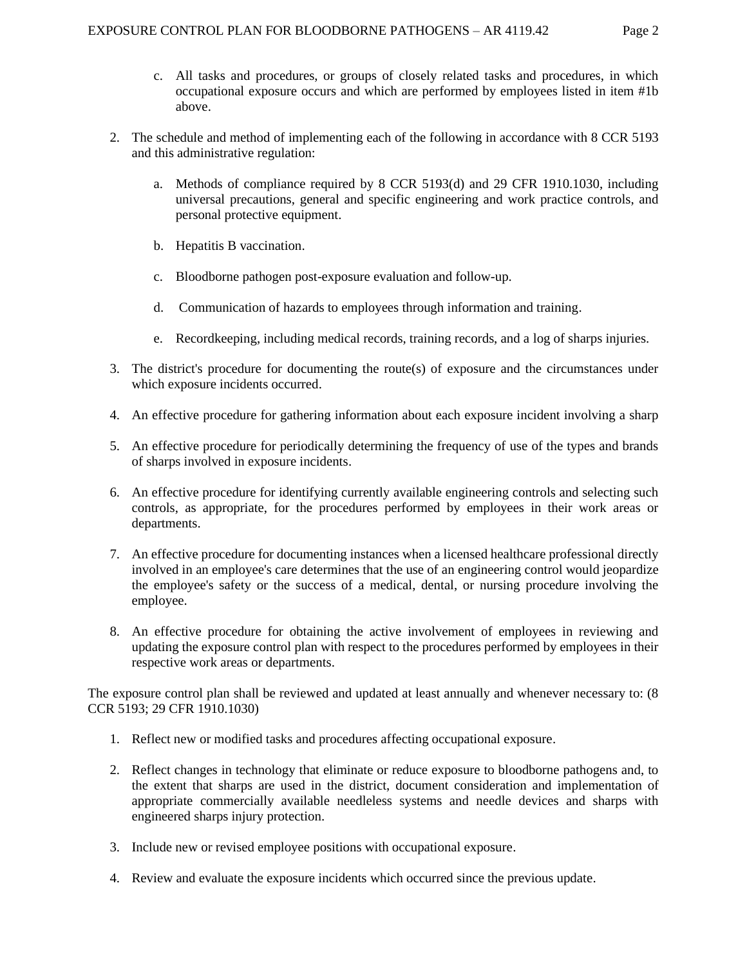- c. All tasks and procedures, or groups of closely related tasks and procedures, in which occupational exposure occurs and which are performed by employees listed in item #1b above.
- 2. The schedule and method of implementing each of the following in accordance with 8 CCR 5193 and this administrative regulation:
	- a. Methods of compliance required by 8 CCR 5193(d) and 29 CFR 1910.1030, including universal precautions, general and specific engineering and work practice controls, and personal protective equipment.
	- b. Hepatitis B vaccination.
	- c. Bloodborne pathogen post-exposure evaluation and follow-up.
	- d. Communication of hazards to employees through information and training.
	- e. Recordkeeping, including medical records, training records, and a log of sharps injuries.
- 3. The district's procedure for documenting the route(s) of exposure and the circumstances under which exposure incidents occurred.
- 4. An effective procedure for gathering information about each exposure incident involving a sharp
- 5. An effective procedure for periodically determining the frequency of use of the types and brands of sharps involved in exposure incidents.
- 6. An effective procedure for identifying currently available engineering controls and selecting such controls, as appropriate, for the procedures performed by employees in their work areas or departments.
- 7. An effective procedure for documenting instances when a licensed healthcare professional directly involved in an employee's care determines that the use of an engineering control would jeopardize the employee's safety or the success of a medical, dental, or nursing procedure involving the employee.
- 8. An effective procedure for obtaining the active involvement of employees in reviewing and updating the exposure control plan with respect to the procedures performed by employees in their respective work areas or departments.

The exposure control plan shall be reviewed and updated at least annually and whenever necessary to: (8 CCR 5193; 29 CFR 1910.1030)

- 1. Reflect new or modified tasks and procedures affecting occupational exposure.
- 2. Reflect changes in technology that eliminate or reduce exposure to bloodborne pathogens and, to the extent that sharps are used in the district, document consideration and implementation of appropriate commercially available needleless systems and needle devices and sharps with engineered sharps injury protection.
- 3. Include new or revised employee positions with occupational exposure.
- 4. Review and evaluate the exposure incidents which occurred since the previous update.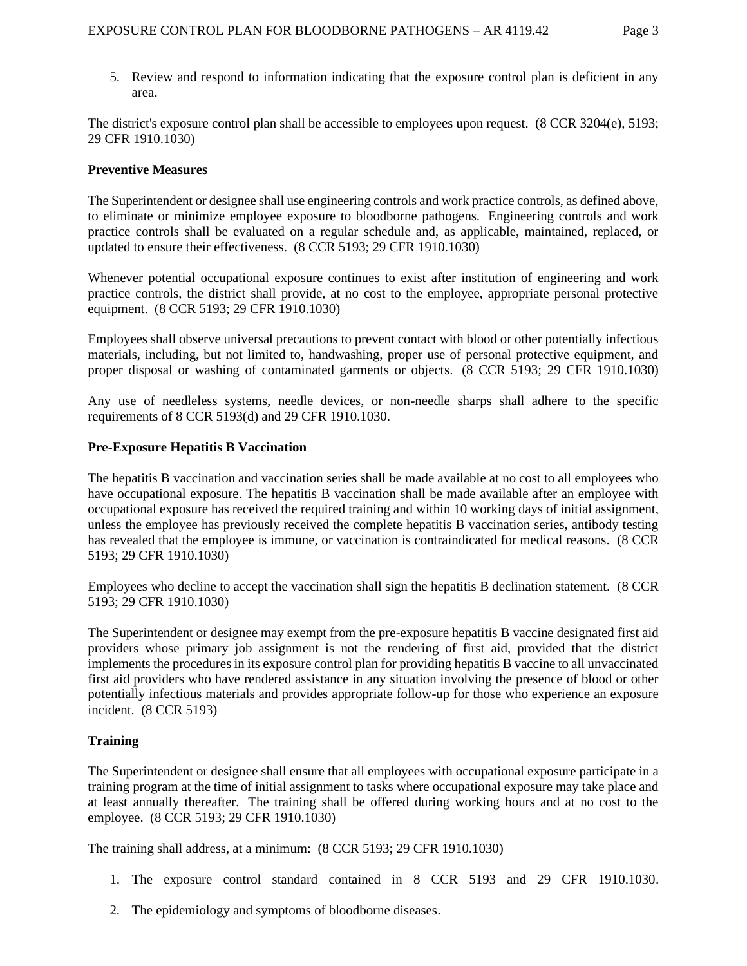5. Review and respond to information indicating that the exposure control plan is deficient in any area.

The district's exposure control plan shall be accessible to employees upon request. (8 CCR 3204(e), 5193; 29 CFR 1910.1030)

#### **Preventive Measures**

The Superintendent or designee shall use engineering controls and work practice controls, as defined above, to eliminate or minimize employee exposure to bloodborne pathogens. Engineering controls and work practice controls shall be evaluated on a regular schedule and, as applicable, maintained, replaced, or updated to ensure their effectiveness. (8 CCR 5193; 29 CFR 1910.1030)

Whenever potential occupational exposure continues to exist after institution of engineering and work practice controls, the district shall provide, at no cost to the employee, appropriate personal protective equipment. (8 CCR 5193; 29 CFR 1910.1030)

Employees shall observe universal precautions to prevent contact with blood or other potentially infectious materials, including, but not limited to, handwashing, proper use of personal protective equipment, and proper disposal or washing of contaminated garments or objects. (8 CCR 5193; 29 CFR 1910.1030)

Any use of needleless systems, needle devices, or non-needle sharps shall adhere to the specific requirements of 8 CCR 5193(d) and 29 CFR 1910.1030.

#### **Pre-Exposure Hepatitis B Vaccination**

The hepatitis B vaccination and vaccination series shall be made available at no cost to all employees who have occupational exposure. The hepatitis B vaccination shall be made available after an employee with occupational exposure has received the required training and within 10 working days of initial assignment, unless the employee has previously received the complete hepatitis B vaccination series, antibody testing has revealed that the employee is immune, or vaccination is contraindicated for medical reasons. (8 CCR 5193; 29 CFR 1910.1030)

Employees who decline to accept the vaccination shall sign the hepatitis B declination statement. (8 CCR 5193; 29 CFR 1910.1030)

The Superintendent or designee may exempt from the pre-exposure hepatitis B vaccine designated first aid providers whose primary job assignment is not the rendering of first aid, provided that the district implements the procedures in its exposure control plan for providing hepatitis B vaccine to all unvaccinated first aid providers who have rendered assistance in any situation involving the presence of blood or other potentially infectious materials and provides appropriate follow-up for those who experience an exposure incident. (8 CCR 5193)

### **Training**

The Superintendent or designee shall ensure that all employees with occupational exposure participate in a training program at the time of initial assignment to tasks where occupational exposure may take place and at least annually thereafter. The training shall be offered during working hours and at no cost to the employee. (8 CCR 5193; 29 CFR 1910.1030)

The training shall address, at a minimum: (8 CCR 5193; 29 CFR 1910.1030)

- 1. The exposure control standard contained in 8 CCR 5193 and 29 CFR 1910.1030.
- 2. The epidemiology and symptoms of bloodborne diseases.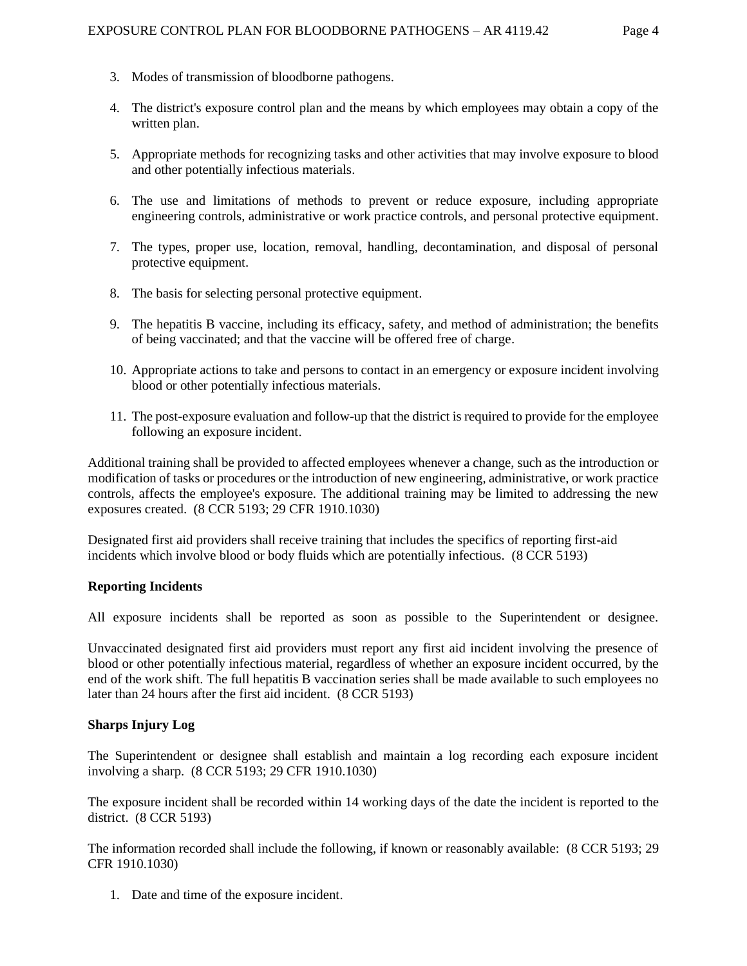- 3. Modes of transmission of bloodborne pathogens.
- 4. The district's exposure control plan and the means by which employees may obtain a copy of the written plan.
- 5. Appropriate methods for recognizing tasks and other activities that may involve exposure to blood and other potentially infectious materials.
- 6. The use and limitations of methods to prevent or reduce exposure, including appropriate engineering controls, administrative or work practice controls, and personal protective equipment.
- 7. The types, proper use, location, removal, handling, decontamination, and disposal of personal protective equipment.
- 8. The basis for selecting personal protective equipment.
- 9. The hepatitis B vaccine, including its efficacy, safety, and method of administration; the benefits of being vaccinated; and that the vaccine will be offered free of charge.
- 10. Appropriate actions to take and persons to contact in an emergency or exposure incident involving blood or other potentially infectious materials.
- 11. The post-exposure evaluation and follow-up that the district is required to provide for the employee following an exposure incident.

Additional training shall be provided to affected employees whenever a change, such as the introduction or modification of tasks or procedures or the introduction of new engineering, administrative, or work practice controls, affects the employee's exposure. The additional training may be limited to addressing the new exposures created. (8 CCR 5193; 29 CFR 1910.1030)

Designated first aid providers shall receive training that includes the specifics of reporting first-aid incidents which involve blood or body fluids which are potentially infectious. (8 CCR 5193)

### **Reporting Incidents**

All exposure incidents shall be reported as soon as possible to the Superintendent or designee.

Unvaccinated designated first aid providers must report any first aid incident involving the presence of blood or other potentially infectious material, regardless of whether an exposure incident occurred, by the end of the work shift. The full hepatitis B vaccination series shall be made available to such employees no later than 24 hours after the first aid incident. (8 CCR 5193)

### **Sharps Injury Log**

The Superintendent or designee shall establish and maintain a log recording each exposure incident involving a sharp. (8 CCR 5193; 29 CFR 1910.1030)

The exposure incident shall be recorded within 14 working days of the date the incident is reported to the district. (8 CCR 5193)

The information recorded shall include the following, if known or reasonably available: (8 CCR 5193; 29 CFR 1910.1030)

1. Date and time of the exposure incident.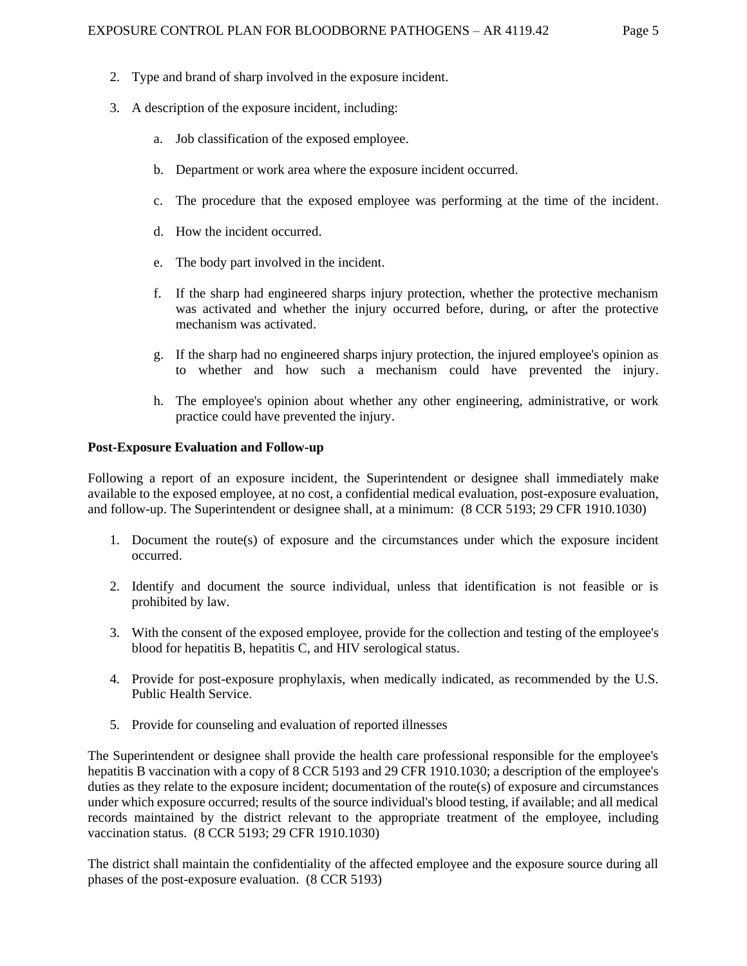- 2. Type and brand of sharp involved in the exposure incident.
- 3. A description of the exposure incident, including:
	- a. Job classification of the exposed employee.
	- b. Department or work area where the exposure incident occurred.
	- c. The procedure that the exposed employee was performing at the time of the incident.
	- d. How the incident occurred.
	- e. The body part involved in the incident.
	- f. If the sharp had engineered sharps injury protection, whether the protective mechanism was activated and whether the injury occurred before, during, or after the protective mechanism was activated.
	- g. If the sharp had no engineered sharps injury protection, the injured employee's opinion as to whether and how such a mechanism could have prevented the injury.
	- h. The employee's opinion about whether any other engineering, administrative, or work practice could have prevented the injury.

#### **Post-Exposure Evaluation and Follow-up**

Following a report of an exposure incident, the Superintendent or designee shall immediately make available to the exposed employee, at no cost, a confidential medical evaluation, post-exposure evaluation, and follow-up. The Superintendent or designee shall, at a minimum: (8 CCR 5193; 29 CFR 1910.1030)

- 1. Document the route(s) of exposure and the circumstances under which the exposure incident occurred.
- 2. Identify and document the source individual, unless that identification is not feasible or is prohibited by law.
- 3. With the consent of the exposed employee, provide for the collection and testing of the employee's blood for hepatitis B, hepatitis C, and HIV serological status.
- 4. Provide for post-exposure prophylaxis, when medically indicated, as recommended by the U.S. Public Health Service.
- 5. Provide for counseling and evaluation of reported illnesses

The Superintendent or designee shall provide the health care professional responsible for the employee's hepatitis B vaccination with a copy of 8 CCR 5193 and 29 CFR 1910.1030; a description of the employee's duties as they relate to the exposure incident; documentation of the route(s) of exposure and circumstances under which exposure occurred; results of the source individual's blood testing, if available; and all medical records maintained by the district relevant to the appropriate treatment of the employee, including vaccination status. (8 CCR 5193; 29 CFR 1910.1030)

The district shall maintain the confidentiality of the affected employee and the exposure source during all phases of the post-exposure evaluation. (8 CCR 5193)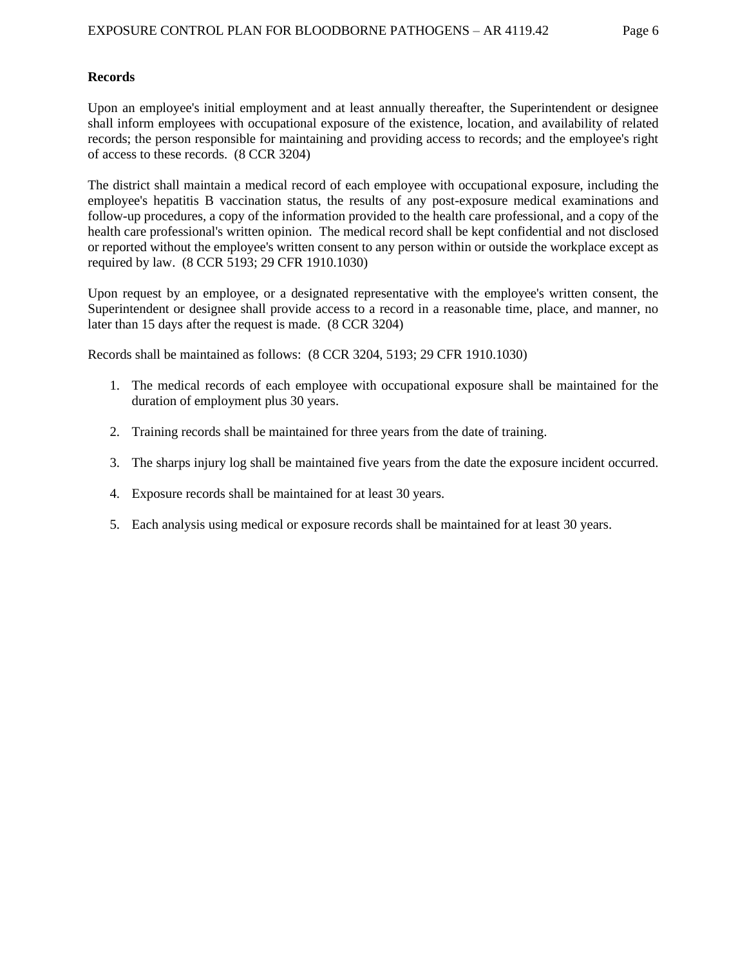### **Records**

Upon an employee's initial employment and at least annually thereafter, the Superintendent or designee shall inform employees with occupational exposure of the existence, location, and availability of related records; the person responsible for maintaining and providing access to records; and the employee's right of access to these records. (8 CCR 3204)

The district shall maintain a medical record of each employee with occupational exposure, including the employee's hepatitis B vaccination status, the results of any post-exposure medical examinations and follow-up procedures, a copy of the information provided to the health care professional, and a copy of the health care professional's written opinion. The medical record shall be kept confidential and not disclosed or reported without the employee's written consent to any person within or outside the workplace except as required by law. (8 CCR 5193; 29 CFR 1910.1030)

Upon request by an employee, or a designated representative with the employee's written consent, the Superintendent or designee shall provide access to a record in a reasonable time, place, and manner, no later than 15 days after the request is made. (8 CCR 3204)

Records shall be maintained as follows: (8 CCR 3204, 5193; 29 CFR 1910.1030)

- 1. The medical records of each employee with occupational exposure shall be maintained for the duration of employment plus 30 years.
- 2. Training records shall be maintained for three years from the date of training.
- 3. The sharps injury log shall be maintained five years from the date the exposure incident occurred.
- 4. Exposure records shall be maintained for at least 30 years.
- 5. Each analysis using medical or exposure records shall be maintained for at least 30 years.